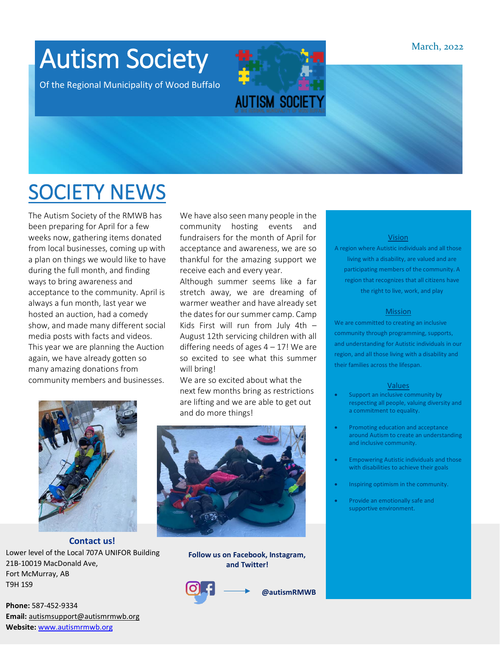March, 2022

### Autism Society

Of the Regional Municipality of Wood Buffalo

# **AUTISM SOCIET**

### SOCIETY NEWS

The Autism Society of the RMWB has been preparing for April for a few weeks now, gathering items donated from local businesses, coming up with a plan on things we would like to have during the full month, and finding ways to bring awareness and acceptance to the community. April is always a fun month, last year we hosted an auction, had a comedy show, and made many different social media posts with facts and videos. This year we are planning the Auction again, we have already gotten so many amazing donations from community members and businesses.

We have also seen many people in the community hosting events and fundraisers for the month of April for acceptance and awareness, we are so thankful for the amazing support we receive each and every year.

Although summer seems like a far stretch away, we are dreaming of warmer weather and have already set the dates for our summer camp. Camp Kids First will run from July 4th – August 12th servicing children with all differing needs of ages  $4 - 17!$  We are so excited to see what this summer will bring!

We are so excited about what the next few months bring as restrictions are lifting and we are able to get out and do more things!



**Follow us on Facebook, Instagram, and Twitter!**



**@autismRMWB**

#### Vision

A region where Autistic individuals and all those living with a disability, are valued and are participating members of the community. A region that recognizes that all citizens have the right to live, work, and play

#### **Mission**

We are committed to creating an inclusive community through programming, supports, and understanding for Autistic individuals in our region, and all those living with a disability and their families across the lifespan.

#### Values

- Support an inclusive community by respecting all people, valuing diversity and a commitment to equality.
- Promoting education and acceptance around Autism to create an understanding and inclusive community.
- Empowering Autistic individuals and those with disabilities to achieve their goals
- Inspiring optimism in the community.
- Provide an emotionally safe and supportive environment.

**Phone:** 587-452-9334 **Email:** autismsupport@autismrmwb.org **Website:** www.autismrmwb.org

21B-10019 MacDonald Ave,

Fort McMurray, AB

T9H 1S9

**Contact us!** Lower level of the Local 707A UNIFOR Building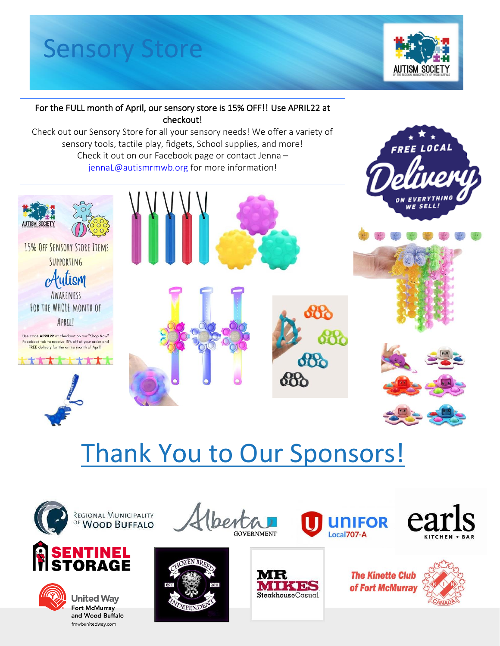# Sensory Store



#### For the FULL month of April, our sensory store is 15% OFF!! Use APRIL22 at checkout!

Check out our Sensory Store for all your sensory needs! We offer a variety of sensory tools, tactile play fidents School supplies and morel sensory tools, tactile play, fidgets, School supplies, and more! Check it out on our Facebook page or contact Jenna – jennaL@autismrmwb.org for more information!



15% OFF SENSORY STORE ITEMS SUPPORTING



FOR THE WHOLE MONTH OF APRIL!

Use code APRIL22 at checkout on our "Shop Now" Facebook tab to receive 15% off of your order and<br>FREE delivery for the entire month of April!







# Thank You to Our Sponsors!

lberta





REGIONAL MUNICIPALITY





**United Way** Fort McMurray and Wood Buffalo fmwbunitedway.com





**The Kinette Club** of Fort McMurray

**UNIFOR** 

Local<sub>707</sub>-A

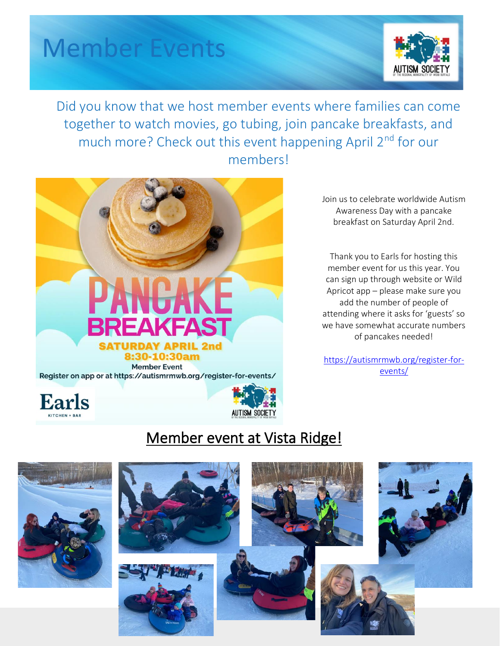### Member Events



Did you know that we host member events where families can come together to watch movies, go tubing, join pancake breakfasts, and much more? Check out this event happening April 2<sup>nd</sup> for our members!



Join us to celebrate worldwide Autism Awareness Day with a pancake breakfast on Saturday April 2nd.

Thank you to Earls for hosting this member event for us this year. You can sign up through website or Wild Apricot app – please make sure you add the number of people of attending where it asks for 'guests' so we have somewhat accurate numbers of pancakes needed!

https://autismrmwb.org/register-forevents/





#### Member event at Vista Ridge!